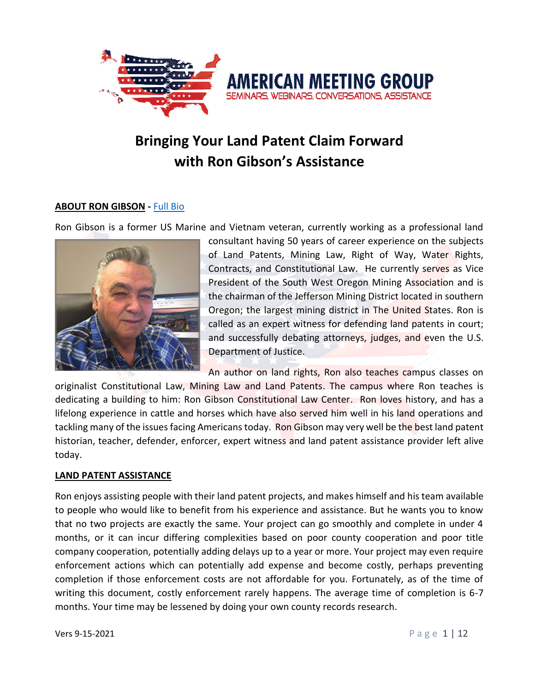

# **Bringing Your Land Patent Claim Forward with Ron Gibson's Assistance**

### **ABOUT RON GIBSON -** [Full Bio](http://austinmeetinggroup.com/ron-gibson/#bio)

Ron Gibson is a former US Marine and Vietnam veteran, currently working as a professional land



consultant having 50 years of career experience on the subjects of Land Patents, Mining Law, Right of Way, Water Rights, Contracts, and Constitutional Law. He currently serves as Vice President of the South West Oregon Mining Association and is the chairman of the Jefferson Mining District located in southern Oregon; the largest mining district in The United States. Ron is called as an expert witness for defending land patents in court; and successfully debating attorneys, judges, and even the U.S. Department of Justice.

An author on land rights, Ron also teaches campus classes on originalist Constitutional Law, Mining Law and Land Patents. The campus where Ron teaches is dedicating a building to him: Ron Gibson Constitutional Law Center. Ron loves history, and has a lifelong experience in cattle and horses which have also served him well in his land operations and tackling many of the issues facing Americans today. Ron Gibson may very well be the best land patent historian, teacher, defender, enforcer, expert witness and land patent assistance provider left alive today.

### **LAND PATENT ASSISTANCE**

Ron enjoys assisting people with their land patent projects, and makes himself and his team available to people who would like to benefit from his experience and assistance. But he wants you to know that no two projects are exactly the same. Your project can go smoothly and complete in under 4 months, or it can incur differing complexities based on poor county cooperation and poor title company cooperation, potentially adding delays up to a year or more. Your project may even require enforcement actions which can potentially add expense and become costly, perhaps preventing completion if those enforcement costs are not affordable for you. Fortunately, as of the time of writing this document, costly enforcement rarely happens. The average time of completion is 6-7 months. Your time may be lessened by doing your own county records research.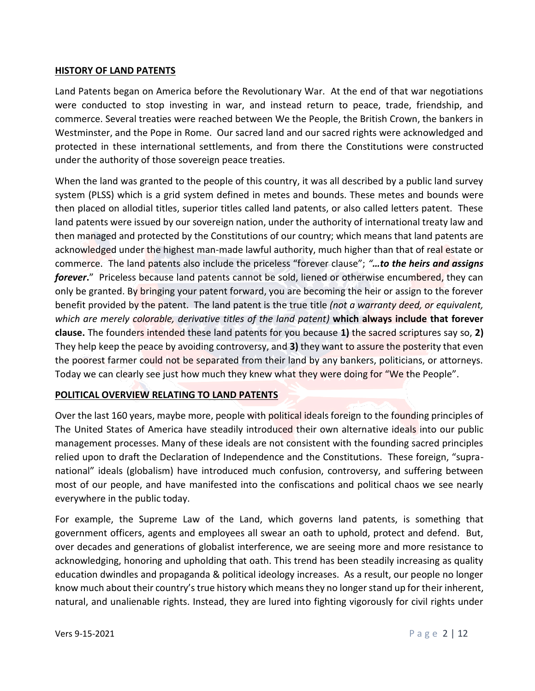#### **HISTORY OF LAND PATENTS**

Land Patents began on America before the Revolutionary War. At the end of that war negotiations were conducted to stop investing in war, and instead return to peace, trade, friendship, and commerce. Several treaties were reached between We the People, the British Crown, the bankers in Westminster, and the Pope in Rome. Our sacred land and our sacred rights were acknowledged and protected in these international settlements, and from there the Constitutions were constructed under the authority of those sovereign peace treaties.

When the land was granted to the people of this country, it was all described by a public land survey system (PLSS) which is a grid system defined in metes and bounds. These metes and bounds were then placed on allodial titles, superior titles called land patents, or also called letters patent. These land patents were issued by our sovereign nation, under the authority of international treaty law and then managed and protected by the Constitutions of our country; which means that land patents are acknowledged under the highest man-made lawful authority, much higher than that of real estate or commerce. The land patents also include the priceless "forever clause"; *"…to the heirs and assigns forever***.**" Priceless because land patents cannot be sold, liened or otherwise encumbered, they can only be granted. By bringing your patent forward, you are becoming the heir or assign to the forever benefit provided by the patent. The land patent is the true title *(not a warranty deed, or equivalent, which are merely colorable, derivative titles of the land patent)* **which always include that forever clause.** The founders intended these land patents for you because **1)** the sacred scriptures say so, **2)** They help keep the peace by avoiding controversy, and **3)** they want to assure the posterity that even the poorest farmer could not be separated from their land by any bankers, politicians, or attorneys. Today we can clearly see just how much they knew what they were doing for "We the People".

### **POLITICAL OVERVIEW RELATING TO LAND PATENTS**

Over the last 160 years, maybe more, people with political ideals foreign to the founding principles of The United States of America have steadily introduced their own alternative ideals into our public management processes. Many of these ideals are not consistent with the founding sacred principles relied upon to draft the Declaration of Independence and the Constitutions. These foreign, "supranational" ideals (globalism) have introduced much confusion, controversy, and suffering between most of our people, and have manifested into the confiscations and political chaos we see nearly everywhere in the public today.

For example, the Supreme Law of the Land, which governs land patents, is something that government officers, agents and employees all swear an oath to uphold, protect and defend. But, over decades and generations of globalist interference, we are seeing more and more resistance to acknowledging, honoring and upholding that oath. This trend has been steadily increasing as quality education dwindles and propaganda & political ideology increases. As a result, our people no longer know much about their country's true history which means they no longer stand up for their inherent, natural, and unalienable rights. Instead, they are lured into fighting vigorously for civil rights under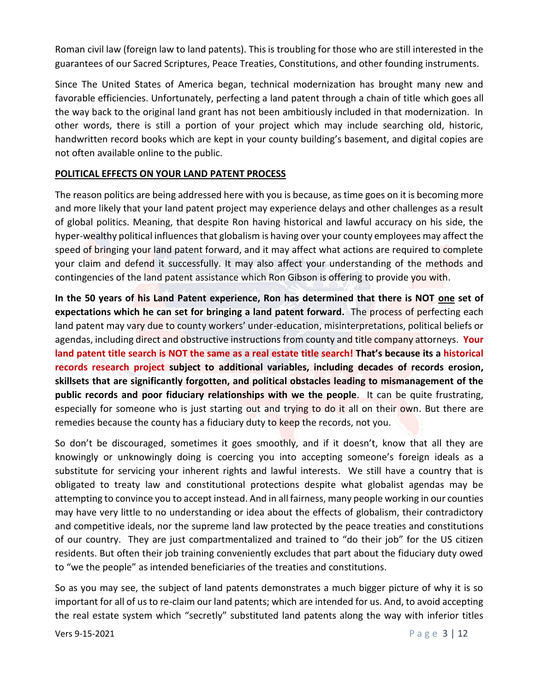Roman civil law (foreign law to land patents). This is troubling for those who are still interested in the guarantees of our Sacred Scriptures, Peace Treaties, Constitutions, and other founding instruments.

Since The United States of America began, technical modernization has brought many new and favorable efficiencies. Unfortunately, perfecting a land patent through a chain of title which goes all the way back to the original land grant has not been ambitiously included in that modernization. In other words, there is still a portion of your project which may include searching old, historic, handwritten record books which are kept in your county building's basement, and digital copies are not often available online to the public.

### **POLITICAL EFFECTS ON YOUR LAND PATENT PROCESS**

The reason politics are being addressed here with you is because, as time goes on it is becoming more and more likely that your land patent project may experience delays and other challenges as a result of global politics. Meaning, that despite Ron having historical and lawful accuracy on his side, the hyper-wealthy political influences that globalism is having over your county employees may affect the speed of bringing your land patent forward, and it may affect what actions are required to complete your claim and defend it successfully. It may also affect your understanding of the methods and contingencies of the land patent assistance which Ron Gibson is offering to provide you with.

**In the 50 years of his Land Patent experience, Ron has determined that there is NOT one set of expectations which he can set for bringing a land patent forward.** The process of perfecting each land patent may vary due to county workers' under-education, misinterpretations, political beliefs or agendas, including direct and obstructive instructions from county and title company attorneys. **Your land patent title search is NOT the same as a real estate title search! That's because its a historical records research project subject to additional variables, including decades of records erosion, skillsets that are significantly forgotten, and political obstacles leading to mismanagement of the public records and poor fiduciary relationships with we the people**. It can be quite frustrating, especially for someone who is just starting out and trying to do it all on their own. But there are remedies because the county has a fiduciary duty to keep the records, not you.

So don't be discouraged, sometimes it goes smoothly, and if it doesn't, know that all they are knowingly or unknowingly doing is coercing you into accepting someone's foreign ideals as a substitute for servicing your inherent rights and lawful interests. We still have a country that is obligated to treaty law and constitutional protections despite what globalist agendas may be attempting to convince you to accept instead. And in all fairness, many people working in our counties may have very little to no understanding or idea about the effects of globalism, their contradictory and competitive ideals, nor the supreme land law protected by the peace treaties and constitutions of our country. They are just compartmentalized and trained to "do their job" for the US citizen residents. But often their job training conveniently excludes that part about the fiduciary duty owed to "we the people" as intended beneficiaries of the treaties and constitutions.

So as you may see, the subject of land patents demonstrates a much bigger picture of why it is so important for all of us to re-claim our land patents; which are intended for us. And, to avoid accepting the real estate system which "secretly" substituted land patents along the way with inferior titles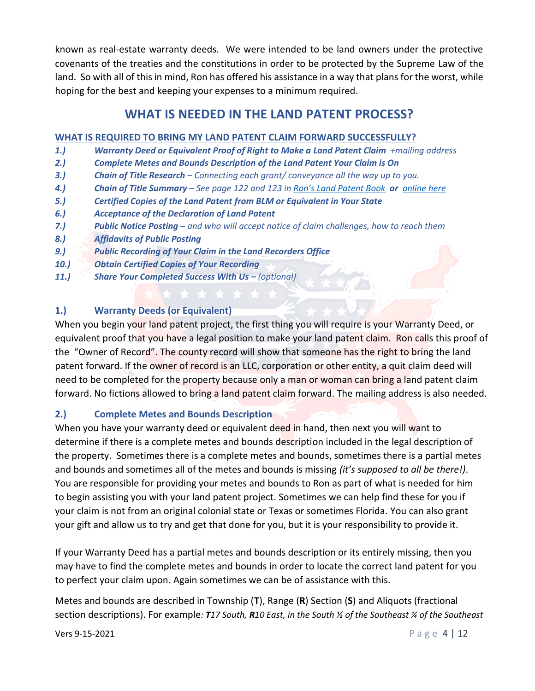known as real-estate warranty deeds. We were intended to be land owners under the protective covenants of the treaties and the constitutions in order to be protected by the Supreme Law of the land. So with all of this in mind, Ron has offered his assistance in a way that plans for the worst, while hoping for the best and keeping your expenses to a minimum required.

## **WHAT IS NEEDED IN THE LAND PATENT PROCESS?**

### **WHAT IS REQUIRED TO BRING MY LAND PATENT CLAIM FORWARD SUCCESSFULLY?**

- **1.)** *Warranty Deed or Equivalent Proof of Right to Make a Land Patent Claim <i>+mailing address*
- *2.) Complete Metes and Bounds Description of the Land Patent Your Claim is On*
- *3.) Chain of Title Research – Connecting each grant/ conveyance all the way up to you.*
- *4.) Chain of Title Summary – See page 122 and 123 in [Ron's Land Patent Book](http://austinmeetinggroup.com/ron-gibson/#landpatentbook) or [online here](http://austinmeetinggroup.com/chain-summary)*
- *5.) Certified Copies of the Land Patent from BLM or Equivalent in Your State*
- *6.) Acceptance of the Declaration of Land Patent*
- *7.) Public Notice Posting – and who will accept notice of claim challenges, how to reach them*
- *8.) Affidavits of Public Posting*
- *9.) Public Recording of Your Claim in the Land Recorders Office*
- *10.) Obtain Certified Copies of Your Recording*
- *11.) Share Your Completed Success With Us – (optional)*

### **1.) Warranty Deeds (or Equivalent)**

When you begin your land patent project, the first thing you will require is your Warranty Deed, or equivalent proof that you have a legal position to make your land patent claim. Ron calls this proof of the "Owner of Record". The county record will show that someone has the right to bring the land patent forward. If the owner of record is an LLC, corporation or other entity, a quit claim deed will need to be completed for the property because only a man or woman can bring a land patent claim forward. No fictions allowed to bring a land patent claim forward. The mailing address is also needed.

### **2.) Complete Metes and Bounds Description**

When you have your warranty deed or equivalent deed in hand, then next you will want to determine if there is a complete metes and bounds description included in the legal description of the property. Sometimes there is a complete metes and bounds, sometimes there is a partial metes and bounds and sometimes all of the metes and bounds is missing *(it's supposed to all be there!)*. You are responsible for providing your metes and bounds to Ron as part of what is needed for him to begin assisting you with your land patent project. Sometimes we can help find these for you if your claim is not from an original colonial state or Texas or sometimes Florida. You can also grant your gift and allow us to try and get that done for you, but it is your responsibility to provide it.

If your Warranty Deed has a partial metes and bounds description or its entirely missing, then you may have to find the complete metes and bounds in order to locate the correct land patent for you to perfect your claim upon. Again sometimes we can be of assistance with this.

Metes and bounds are described in Township (**T**), Range (**R**) Section (**S**) and Aliquots (fractional section descriptions). For example*: T17 South, R10 East, in the South ½ of the Southeast ¼ of the Southeast*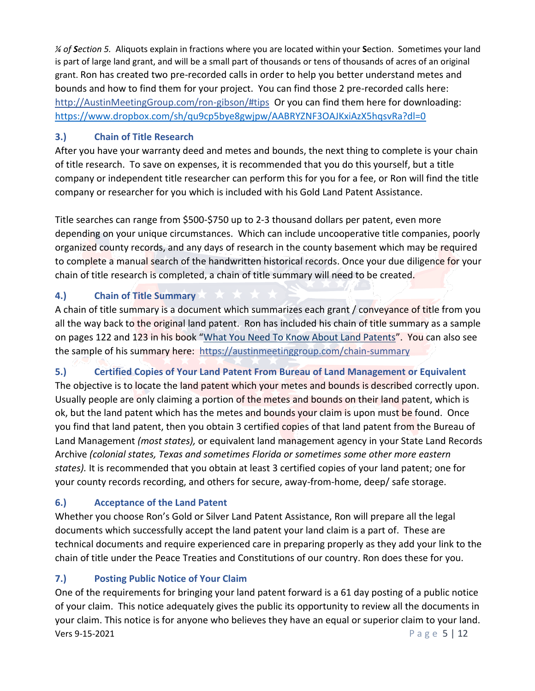*¼ of Section 5.* Aliquots explain in fractions where you are located within your **S**ection. Sometimes your land is part of large land grant, and will be a small part of thousands or tens of thousands of acres of an original grant. Ron has created two pre-recorded calls in order to help you better understand metes and bounds and how to find them for your project. You can find those 2 pre-recorded calls here: [http://AustinMeetingGroup.com/ron-gibson/#tips](http://austinmeetinggroup.com/ron-gibson/%23tips) Or you can find them here for downloading: <https://www.dropbox.com/sh/qu9cp5bye8gwjpw/AABRYZNF3OAJKxiAzX5hqsvRa?dl=0>

## **3.) Chain of Title Research**

After you have your warranty deed and metes and bounds, the next thing to complete is your chain of title research. To save on expenses, it is recommended that you do this yourself, but a title company or independent title researcher can perform this for you for a fee, or Ron will find the title company or researcher for you which is included with his Gold Land Patent Assistance.

Title searches can range from \$500-\$750 up to 2-3 thousand dollars per patent, even more depending on your unique circumstances. Which can include uncooperative title companies, poorly organized county records, and any days of research in the county basement which may be required to complete a manual search of the handwritten historical records. Once your due diligence for your chain of title research is completed, a chain of title summary will need to be created.

## **4.) Chain of Title Summary**

A chain of title summary is a document which summarizes each grant / conveyance of title from you all the way back to the original land patent. Ron has included his chain of title summary as a sample on pages 122 and 123 in his book "[What You Need To Know About Land Patents](http://austinmeetinggroup.com/ron-gibson/#landpatentbook)". You can also see the sample of his summary here: <https://austinmeetinggroup.com/chain-summary>

## **5.) Certified Copies of Your Land Patent From Bureau of Land Management or Equivalent**

The objective is to locate the land patent which your metes and bounds is described correctly upon. Usually people are only claiming a portion of the metes and bounds on their land patent, which is ok, but the land patent which has the metes and bounds your claim is upon must be found. Once you find that land patent, then you obtain 3 certified copies of that land patent from the Bureau of Land Management *(most states),* or equivalent land management agency in your State Land Records Archive *(colonial states, Texas and sometimes Florida or sometimes some other more eastern states).* It is recommended that you obtain at least 3 certified copies of your land patent; one for your county records recording, and others for secure, away-from-home, deep/ safe storage.

## **6.) Acceptance of the Land Patent**

Whether you choose Ron's Gold or Silver Land Patent Assistance, Ron will prepare all the legal documents which successfully accept the land patent your land claim is a part of. These are technical documents and require experienced care in preparing properly as they add your link to the chain of title under the Peace Treaties and Constitutions of our country. Ron does these for you.

## **7.) Posting Public Notice of Your Claim**

**Vers 9-15-2021** P a g e 5 | 12 One of the requirements for bringing your land patent forward is a 61 day posting of a public notice of your claim. This notice adequately gives the public its opportunity to review all the documents in your claim. This notice is for anyone who believes they have an equal or superior claim to your land.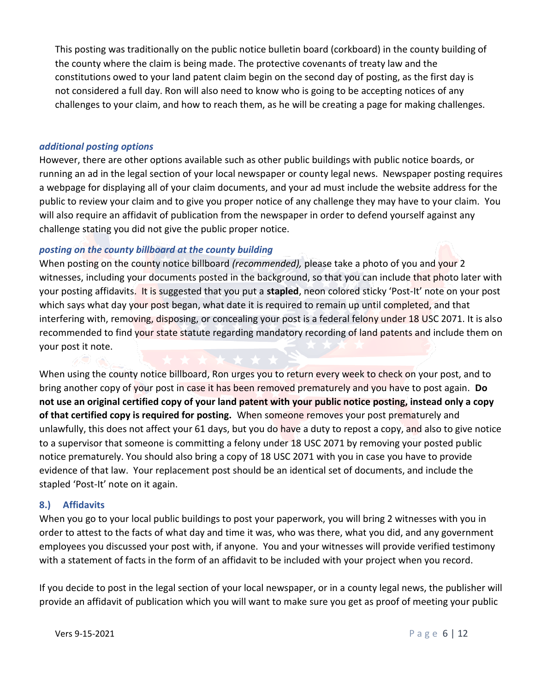This posting was traditionally on the public notice bulletin board (corkboard) in the county building of the county where the claim is being made. The protective covenants of treaty law and the constitutions owed to your land patent claim begin on the second day of posting, as the first day is not considered a full day. Ron will also need to know who is going to be accepting notices of any challenges to your claim, and how to reach them, as he will be creating a page for making challenges.

### *additional posting options*

However, there are other options available such as other public buildings with public notice boards, or running an ad in the legal section of your local newspaper or county legal news. Newspaper posting requires a webpage for displaying all of your claim documents, and your ad must include the website address for the public to review your claim and to give you proper notice of any challenge they may have to your claim. You will also require an affidavit of publication from the newspaper in order to defend yourself against any challenge stating you did not give the public proper notice.

### *posting on the county billboard at the county building*

When posting on the county notice billboard *(recommended),* please take a photo of you and your 2 witnesses, including your documents posted in the background, so that you can include that photo later with your posting affidavits. It is suggested that you put a **stapled**, neon colored sticky 'Post-It' note on your post which says what day your post began, what date it is required to remain up until completed, and that interfering with, removing, disposing, or concealing your post is a federal felony under 18 USC 2071. It is also recommended to find your state statute regarding mandatory recording of land patents and include them on your post it note.

When using the county notice billboard, Ron urges you to return every week to check on your post, and to bring another copy of your post in case it has been removed prematurely and you have to post again. **Do not use an original certified copy of your land patent with your public notice posting, instead only a copy of that certified copy is required for posting.** When someone removes your post prematurely and unlawfully, this does not affect your 61 days, but you do have a duty to repost a copy, and also to give notice to a supervisor that someone is committing a felony under 18 USC 2071 by removing your posted public notice prematurely. You should also bring a copy of 18 USC 2071 with you in case you have to provide evidence of that law. Your replacement post should be an identical set of documents, and include the stapled 'Post-It' note on it again.

### **8.) Affidavits**

When you go to your local public buildings to post your paperwork, you will bring 2 witnesses with you in order to attest to the facts of what day and time it was, who was there, what you did, and any government employees you discussed your post with, if anyone. You and your witnesses will provide verified testimony with a statement of facts in the form of an affidavit to be included with your project when you record.

If you decide to post in the legal section of your local newspaper, or in a county legal news, the publisher will provide an affidavit of publication which you will want to make sure you get as proof of meeting your public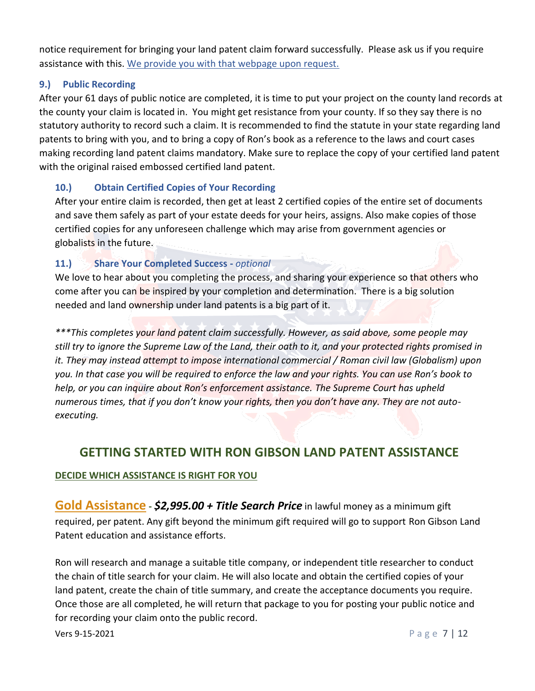notice requirement for bringing your land patent claim forward successfully. Please ask us if you require assistance with this. [We provide you with that webpage upon request.](http://www.americanmeetinggroup.com/smock)

## **9.) Public Recording**

After your 61 days of public notice are completed, it is time to put your project on the county land records at the county your claim is located in. You might get resistance from your county. If so they say there is no statutory authority to record such a claim. It is recommended to find the statute in your state regarding land patents to bring with you, and to bring a copy of Ron's book as a reference to the laws and court cases making recording land patent claims mandatory. Make sure to replace the copy of your certified land patent with the original raised embossed certified land patent.

### **10.) Obtain Certified Copies of Your Recording**

After your entire claim is recorded, then get at least 2 certified copies of the entire set of documents and save them safely as part of your estate deeds for your heirs, assigns. Also make copies of those certified copies for any unforeseen challenge which may arise from government agencies or globalists in the future.

### **11.) Share Your Completed Success -** *optional*

We love to hear about you completing the process, and sharing your experience so that others who come after you can be inspired by your completion and determination. There is a big solution needed and land ownership under land patents is a big part of it.

*\*\*\*This completes your land patent claim successfully. However, as said above, some people may still try to ignore the Supreme Law of the Land, their oath to it, and your protected rights promised in it. They may instead attempt to impose international commercial / Roman civil law (Globalism) upon you. In that case you will be required to enforce the law and your rights. You can use Ron's book to help, or you can inquire about Ron's enforcement assistance. The Supreme Court has upheld numerous times, that if you don't know your rights, then you don't have any. They are not autoexecuting.*

## **GETTING STARTED WITH RON GIBSON LAND PATENT ASSISTANCE**

### **DECIDE WHICH ASSISTANCE IS RIGHT FOR YOU**

**Gold Assistance -** *\$2,995.00 + Title Search Price* in lawful money as a minimum gift required, per patent. Any gift beyond the minimum gift required will go to support Ron Gibson Land Patent education and assistance efforts.

Ron will research and manage a suitable title company, or independent title researcher to conduct the chain of title search for your claim. He will also locate and obtain the certified copies of your land patent, create the chain of title summary, and create the acceptance documents you require. Once those are all completed, he will return that package to you for posting your public notice and for recording your claim onto the public record.

**Vers 9-15-2021** P a g e 7 | 12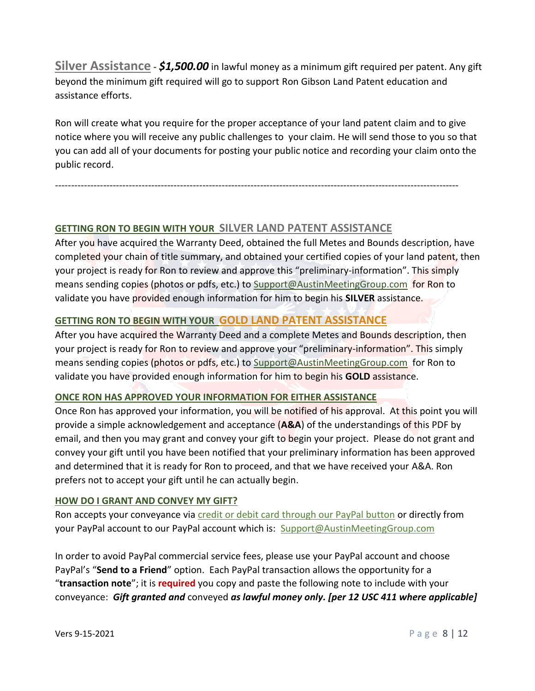**Silver Assistance -** *\$1,500.00* in lawful money as a minimum gift required per patent. Any gift beyond the minimum gift required will go to support Ron Gibson Land Patent education and assistance efforts.

Ron will create what you require for the proper acceptance of your land patent claim and to give notice where you will receive any public challenges to your claim. He will send those to you so that you can add all of your documents for posting your public notice and recording your claim onto the public record.

------------------------------------------------------------------------------------------------------------------------------

## **GETTING RON TO BEGIN WITH YOUR SILVER LAND PATENT ASSISTANCE**

After you have acquired the Warranty Deed, obtained the full Metes and Bounds description, have completed your chain of title summary, and obtained your certified copies of your land patent, then your project is ready for Ron to review and approve this "preliminary-information". This simply means sending copies (photos or pdfs, etc.) to [Support@AustinMeetingGroup.com](mailto:Support@AustinMeetingGroup.com) for Ron to validate you have provided enough information for him to begin his **SILVER** assistance.

## **GETTING RON TO BEGIN WITH YOUR GOLD LAND PATENT ASSISTANCE**

After you have acquired the Warranty Deed and a complete Metes and Bounds description, then your project is ready for Ron to review and approve your "preliminary-information". This simply means sending copies (photos or pdfs, etc.) to [Support@AustinMeetingGroup.com](mailto:Support@AustinMeetingGroup.com) for Ron to validate you have provided enough information for him to begin his **GOLD** assistance.

### **ONCE RON HAS APPROVED YOUR INFORMATION FOR EITHER ASSISTANCE**

Once Ron has approved your information, you will be notified of his approval. At this point you will provide a simple acknowledgement and acceptance (**A&A**) of the understandings of this PDF by email, and then you may grant and convey your gift to begin your project. Please do not grant and convey your gift until you have been notified that your preliminary information has been approved and determined that it is ready for Ron to proceed, and that we have received your A&A. Ron prefers not to accept your gift until he can actually begin.

### **HOW DO I GRANT AND CONVEY MY GIFT?**

Ron accepts your conveyance via [credit or debit card through our PayPal button](http://austinmeetinggroup.com/ron-gibson/#lpbuttons) or directly from your PayPal account to our PayPal account which is: [Support@AustinMeetingGroup.com](mailto:Support@AustinMeetingGroup.com)

In order to avoid PayPal commercial service fees, please use your PayPal account and choose PayPal's "**Send to a Friend**" option. Each PayPal transaction allows the opportunity for a "**transaction note**"; it is **required** you copy and paste the following note to include with your conveyance: *Gift granted and* conveyed *as lawful money only. [per 12 USC 411 where applicable]*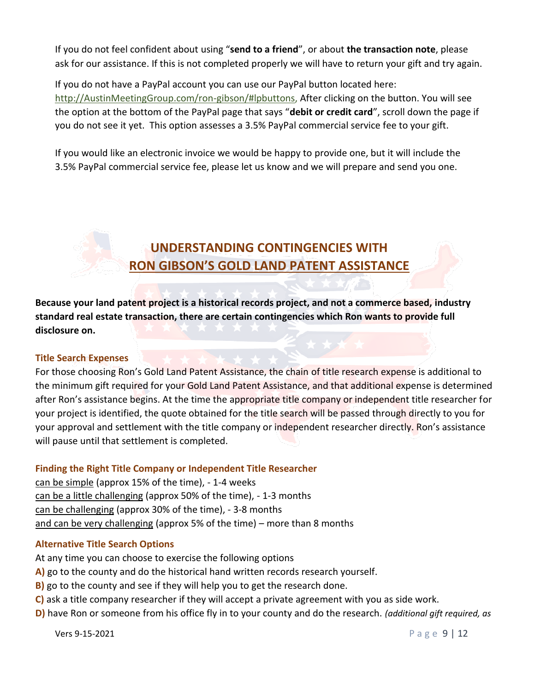If you do not feel confident about using "**send to a friend**", or about **the transaction note**, please ask for our assistance. If this is not completed properly we will have to return your gift and try again.

If you do not have a PayPal account you can use our PayPal button located here: [http://AustinMeetingGroup.com/ron-gibson/#l](http://austinmeetinggroup.com/ron-gibson/# landpatentassistance)pbuttons, After clicking on the button. You will see the option at the bottom of the PayPal page that says "**debit or credit card**", scroll down the page if you do not see it yet. This option assesses a 3.5% PayPal commercial service fee to your gift.

If you would like an electronic invoice we would be happy to provide one, but it will include the 3.5% PayPal commercial service fee, please let us know and we will prepare and send you one.

# **UNDERSTANDING CONTINGENCIES WITH RON GIBSON'S GOLD LAND PATENT ASSISTANCE**

**Because your land patent project is a historical records project, and not a commerce based, industry standard real estate transaction, there are certain contingencies which Ron wants to provide full disclosure on.**

### **Title Search Expenses**

For those choosing Ron's Gold Land Patent Assistance, the chain of title research expense is additional to the minimum gift required for your Gold Land Patent Assistance, and that additional expense is determined after Ron's assistance begins. At the time the appropriate title company or independent title researcher for your project is identified, the quote obtained for the title search will be passed through directly to you for your approval and settlement with the title company or independent researcher directly. Ron's assistance will pause until that settlement is completed.

### **Finding the Right Title Company or Independent Title Researcher**

can be simple (approx 15% of the time), - 1-4 weeks can be a little challenging (approx 50% of the time), - 1-3 months can be challenging (approx 30% of the time), - 3-8 months and can be very challenging (approx 5% of the time) – more than 8 months

### **Alternative Title Search Options**

At any time you can choose to exercise the following options

- **A)** go to the county and do the historical hand written records research yourself.
- **B)** go to the county and see if they will help you to get the research done.
- **C)** ask a title company researcher if they will accept a private agreement with you as side work.
- **D)** have Ron or someone from his office fly in to your county and do the research. *(additional gift required, as*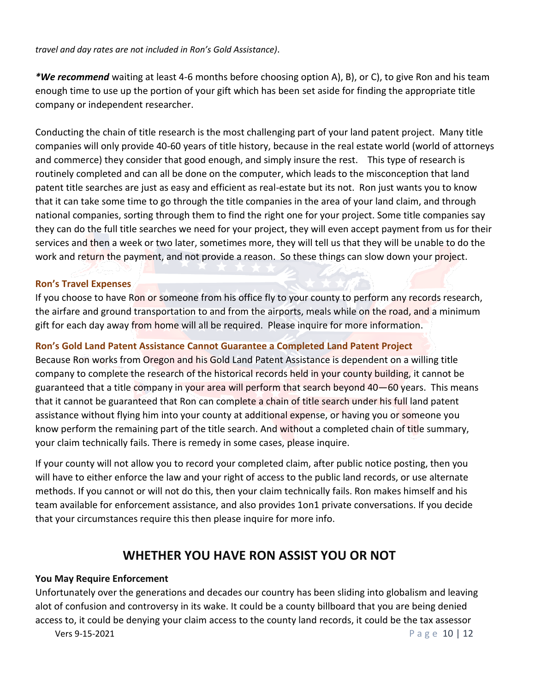*travel and day rates are not included in Ron's Gold Assistance)*.

*\*We recommend* waiting at least 4-6 months before choosing option A), B), or C), to give Ron and his team enough time to use up the portion of your gift which has been set aside for finding the appropriate title company or independent researcher.

Conducting the chain of title research is the most challenging part of your land patent project. Many title companies will only provide 40-60 years of title history, because in the real estate world (world of attorneys and commerce) they consider that good enough, and simply insure the rest. This type of research is routinely completed and can all be done on the computer, which leads to the misconception that land patent title searches are just as easy and efficient as real-estate but its not. Ron just wants you to know that it can take some time to go through the title companies in the area of your land claim, and through national companies, sorting through them to find the right one for your project. Some title companies say they can do the full title searches we need for your project, they will even accept payment from us for their services and then a week or two later, sometimes more, they will tell us that they will be unable to do the work and return the payment, and not provide a reason. So these things can slow down your project.

### **Ron's Travel Expenses**

If you choose to have Ron or someone from his office fly to your county to perform any records research, the airfare and ground transportation to and from the airports, meals while on the road, and a minimum gift for each day away from home will all be required. Please inquire for more information.

### **Ron's Gold Land Patent Assistance Cannot Guarantee a Completed Land Patent Project**

Because Ron works from Oregon and his Gold Land Patent Assistance is dependent on a willing title company to complete the research of the historical records held in your county building, it cannot be guaranteed that a title company in your area will perform that search beyond 40–60 years. This means that it cannot be guaranteed that Ron can complete a chain of title search under his full land patent assistance without flying him into your county at additional expense, or having you or someone you know perform the remaining part of the title search. And without a completed chain of title summary, your claim technically fails. There is remedy in some cases, please inquire.

If your county will not allow you to record your completed claim, after public notice posting, then you will have to either enforce the law and your right of access to the public land records, or use alternate methods. If you cannot or will not do this, then your claim technically fails. Ron makes himself and his team available for enforcement assistance, and also provides 1on1 private conversations. If you decide that your circumstances require this then please inquire for more info.

## **WHETHER YOU HAVE RON ASSIST YOU OR NOT**

### **You May Require Enforcement**

**Vers 9-15-2021** P a g e 10 | 12 Unfortunately over the generations and decades our country has been sliding into globalism and leaving alot of confusion and controversy in its wake. It could be a county billboard that you are being denied access to, it could be denying your claim access to the county land records, it could be the tax assessor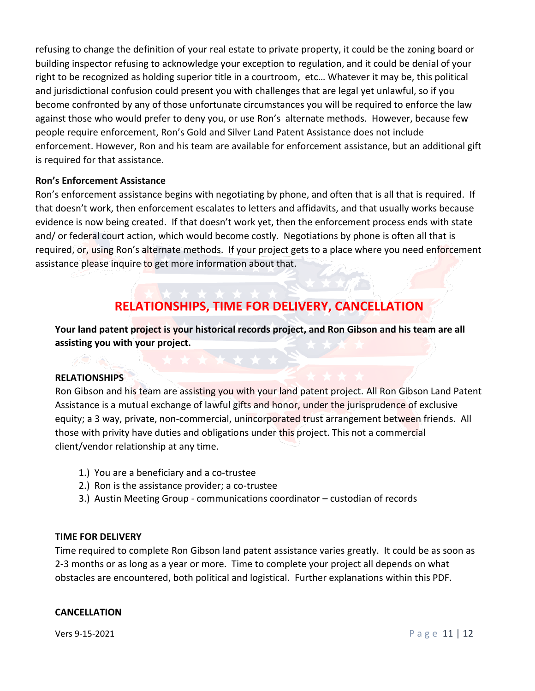refusing to change the definition of your real estate to private property, it could be the zoning board or building inspector refusing to acknowledge your exception to regulation, and it could be denial of your right to be recognized as holding superior title in a courtroom, etc… Whatever it may be, this political and jurisdictional confusion could present you with challenges that are legal yet unlawful, so if you become confronted by any of those unfortunate circumstances you will be required to enforce the law against those who would prefer to deny you, or use Ron's alternate methods. However, because few people require enforcement, Ron's Gold and Silver Land Patent Assistance does not include enforcement. However, Ron and his team are available for enforcement assistance, but an additional gift is required for that assistance.

### **Ron's Enforcement Assistance**

Ron's enforcement assistance begins with negotiating by phone, and often that is all that is required. If that doesn't work, then enforcement escalates to letters and affidavits, and that usually works because evidence is now being created. If that doesn't work yet, then the enforcement process ends with state and/ or federal court action, which would become costly. Negotiations by phone is often all that is required, or, using Ron's alternate methods. If your project gets to a place where you need enforcement assistance please inquire to get more information about that.

## **RELATIONSHIPS, TIME FOR DELIVERY, CANCELLATION**

**Your land patent project is your historical records project, and Ron Gibson and his team are all assisting you with your project.**

### **RELATIONSHIPS**

Ron Gibson and his team are assisting you with your land patent project. All Ron Gibson Land Patent Assistance is a mutual exchange of lawful gifts and honor, under the jurisprudence of exclusive equity; a 3 way, private, non-commercial, unincorporated trust arrangement between friends. All those with privity have duties and obligations under this project. This not a commercial client/vendor relationship at any time.

- 1.) You are a beneficiary and a co-trustee
- 2.) Ron is the assistance provider; a co-trustee
- 3.) Austin Meeting Group communications coordinator custodian of records

### **TIME FOR DELIVERY**

Time required to complete Ron Gibson land patent assistance varies greatly. It could be as soon as 2-3 months or as long as a year or more. Time to complete your project all depends on what obstacles are encountered, both political and logistical. Further explanations within this PDF.

### **CANCELLATION**